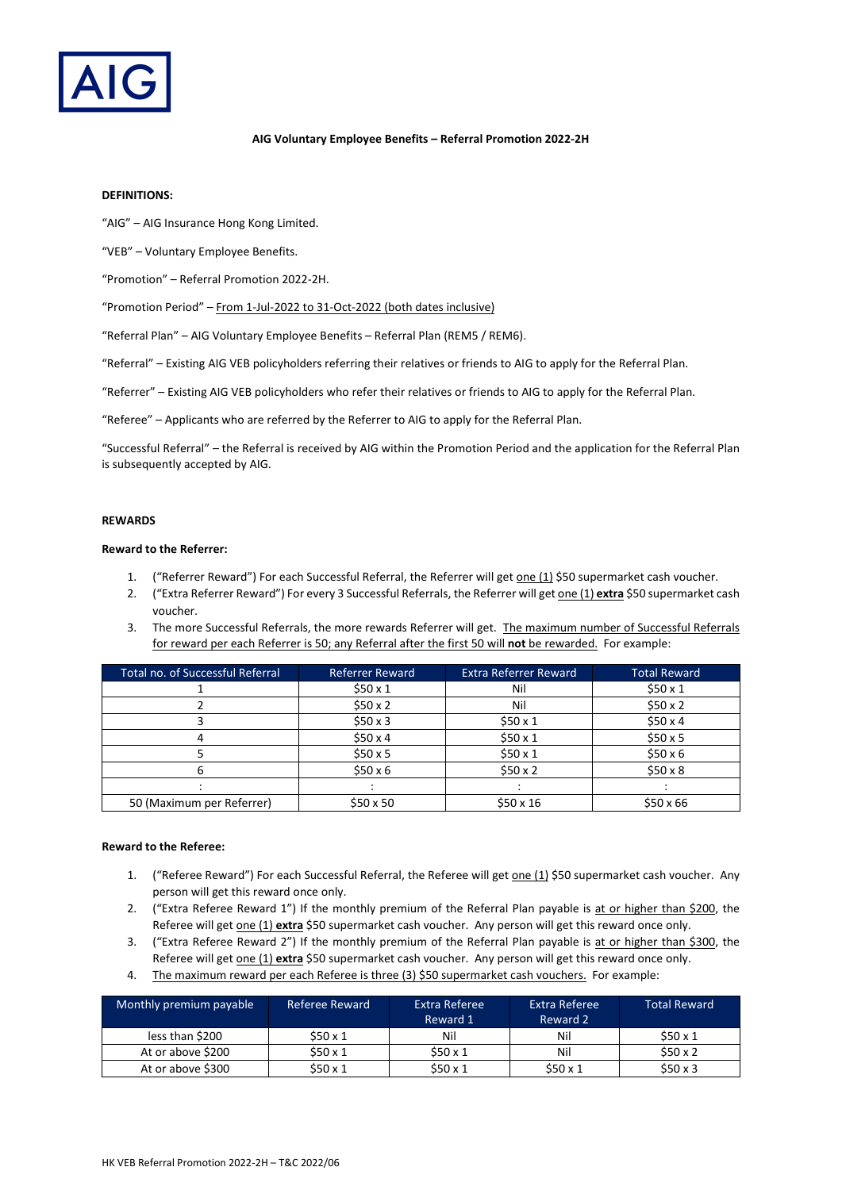

### **AIG Voluntary Employee Benefits – Referral Promotion 2022-2H**

## **DEFINITIONS:**

"AIG" – AIG Insurance Hong Kong Limited.

"VEB" – Voluntary Employee Benefits.

"Promotion" – Referral Promotion 2022-2H.

"Promotion Period" – From 1-Jul-2022 to 31-Oct-2022 (both dates inclusive)

"Referral Plan" – AIG Voluntary Employee Benefits – Referral Plan (REM5 / REM6).

"Referral" – Existing AIG VEB policyholders referring their relatives or friends to AIG to apply for the Referral Plan.

"Referrer" – Existing AIG VEB policyholders who refer their relatives or friends to AIG to apply for the Referral Plan.

"Referee" – Applicants who are referred by the Referrer to AIG to apply for the Referral Plan.

"Successful Referral" – the Referral is received by AIG within the Promotion Period and the application for the Referral Plan is subsequently accepted by AIG.

### **REWARDS**

## **Reward to the Referrer:**

- 1. ("Referrer Reward") For each Successful Referral, the Referrer will get one (1) \$50 supermarket cash voucher.
- 2. ("Extra Referrer Reward") For every 3 Successful Referrals, the Referrer will get one (1) **extra** \$50 supermarket cash voucher.
- 3. The more Successful Referrals, the more rewards Referrer will get. The maximum number of Successful Referrals for reward per each Referrer is 50; any Referral after the first 50 will **not** be rewarded. For example:

| Total no. of Successful Referral | <b>Referrer Reward</b> | <b>Extra Referrer Reward</b> | <b>Total Reward</b> |
|----------------------------------|------------------------|------------------------------|---------------------|
|                                  | \$50x1                 | Nil                          | \$50x1              |
|                                  | \$50x2                 | Nil                          | \$50x2              |
|                                  | \$50x3                 | \$50x1                       | \$50x4              |
|                                  | \$50x4                 | \$50x1                       | \$50x5              |
|                                  | \$50x5                 | \$50x1                       | \$50x6              |
|                                  | \$50x6                 | \$50x2                       | \$50x8              |
|                                  |                        |                              |                     |
| 50 (Maximum per Referrer)        | $$50 \times 50$        | $$50 \times 16$              | $$50 \times 66$     |

### **Reward to the Referee:**

- 1. ("Referee Reward") For each Successful Referral, the Referee will get one (1) \$50 supermarket cash voucher. Any person will get this reward once only.
- 2. ("Extra Referee Reward 1") If the monthly premium of the Referral Plan payable is at or higher than \$200, the Referee will get one (1) **extra** \$50 supermarket cash voucher. Any person will get this reward once only.
- 3. ("Extra Referee Reward 2") If the monthly premium of the Referral Plan payable is at or higher than \$300, the Referee will get one (1) **extra** \$50 supermarket cash voucher. Any person will get this reward once only.
- 4. The maximum reward per each Referee is three (3) \$50 supermarket cash vouchers. For example:

| Monthly premium payable | Referee Reward | Extra Referee<br>Reward 1 | Extra Referee<br>Reward 2 | <b>Total Reward</b> |
|-------------------------|----------------|---------------------------|---------------------------|---------------------|
| less than \$200         | \$50x1         | Nil                       | Nil                       | \$50x1              |
| At or above \$200       | \$50x1         | \$50x1                    | Nil                       | \$50x2              |
| At or above \$300       | \$50x1         | \$50x1                    | \$50x1                    | \$50x3              |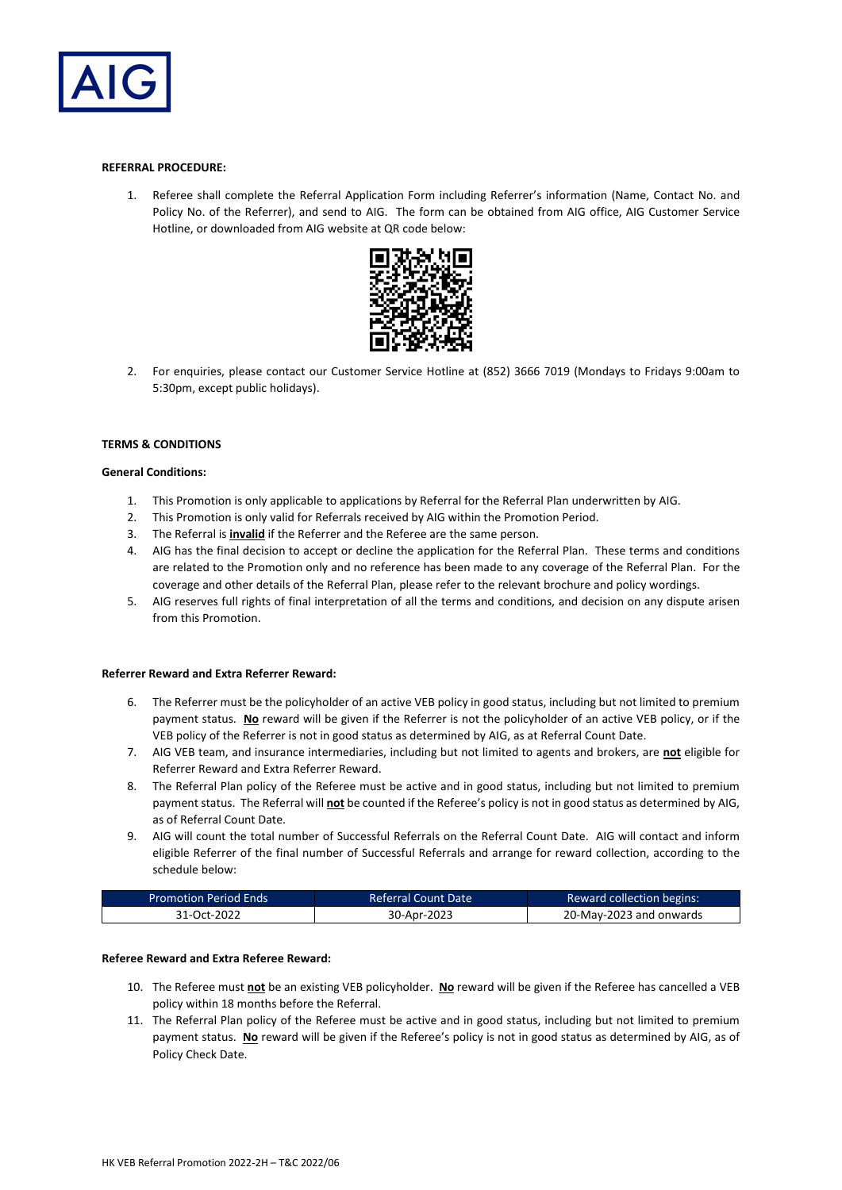

### **REFERRAL PROCEDURE:**

1. Referee shall complete the Referral Application Form including Referrer's information (Name, Contact No. and Policy No. of the Referrer), and send to AIG. The form can be obtained from AIG office, AIG Customer Service Hotline, or downloaded from AIG website at QR code below:



2. For enquiries, please contact our Customer Service Hotline at (852) 3666 7019 (Mondays to Fridays 9:00am to 5:30pm, except public holidays).

#### **TERMS & CONDITIONS**

### **General Conditions:**

- 1. This Promotion is only applicable to applications by Referral for the Referral Plan underwritten by AIG.
- 2. This Promotion is only valid for Referrals received by AIG within the Promotion Period.
- 3. The Referral is **invalid** if the Referrer and the Referee are the same person.
- 4. AIG has the final decision to accept or decline the application for the Referral Plan. These terms and conditions are related to the Promotion only and no reference has been made to any coverage of the Referral Plan. For the coverage and other details of the Referral Plan, please refer to the relevant brochure and policy wordings.
- 5. AIG reserves full rights of final interpretation of all the terms and conditions, and decision on any dispute arisen from this Promotion.

#### **Referrer Reward and Extra Referrer Reward:**

- 6. The Referrer must be the policyholder of an active VEB policy in good status, including but not limited to premium payment status. **No** reward will be given if the Referrer is not the policyholder of an active VEB policy, or if the VEB policy of the Referrer is not in good status as determined by AIG, as at Referral Count Date.
- 7. AIG VEB team, and insurance intermediaries, including but not limited to agents and brokers, are **not** eligible for Referrer Reward and Extra Referrer Reward.
- 8. The Referral Plan policy of the Referee must be active and in good status, including but not limited to premium payment status. The Referral will **not** be counted if the Referee's policy is not in good status as determined by AIG, as of Referral Count Date.
- 9. AIG will count the total number of Successful Referrals on the Referral Count Date. AIG will contact and inform eligible Referrer of the final number of Successful Referrals and arrange for reward collection, according to the schedule below:

| Promotion Period Ends | Referral Count Date | Reward collection begins: |
|-----------------------|---------------------|---------------------------|
| 31-Oct-2022           | 30-Apr-2023         | 20-May-2023 and onwards   |

#### **Referee Reward and Extra Referee Reward:**

- 10. The Referee must **not** be an existing VEB policyholder. **No** reward will be given if the Referee has cancelled a VEB policy within 18 months before the Referral.
- 11. The Referral Plan policy of the Referee must be active and in good status, including but not limited to premium payment status. **No** reward will be given if the Referee's policy is not in good status as determined by AIG, as of Policy Check Date.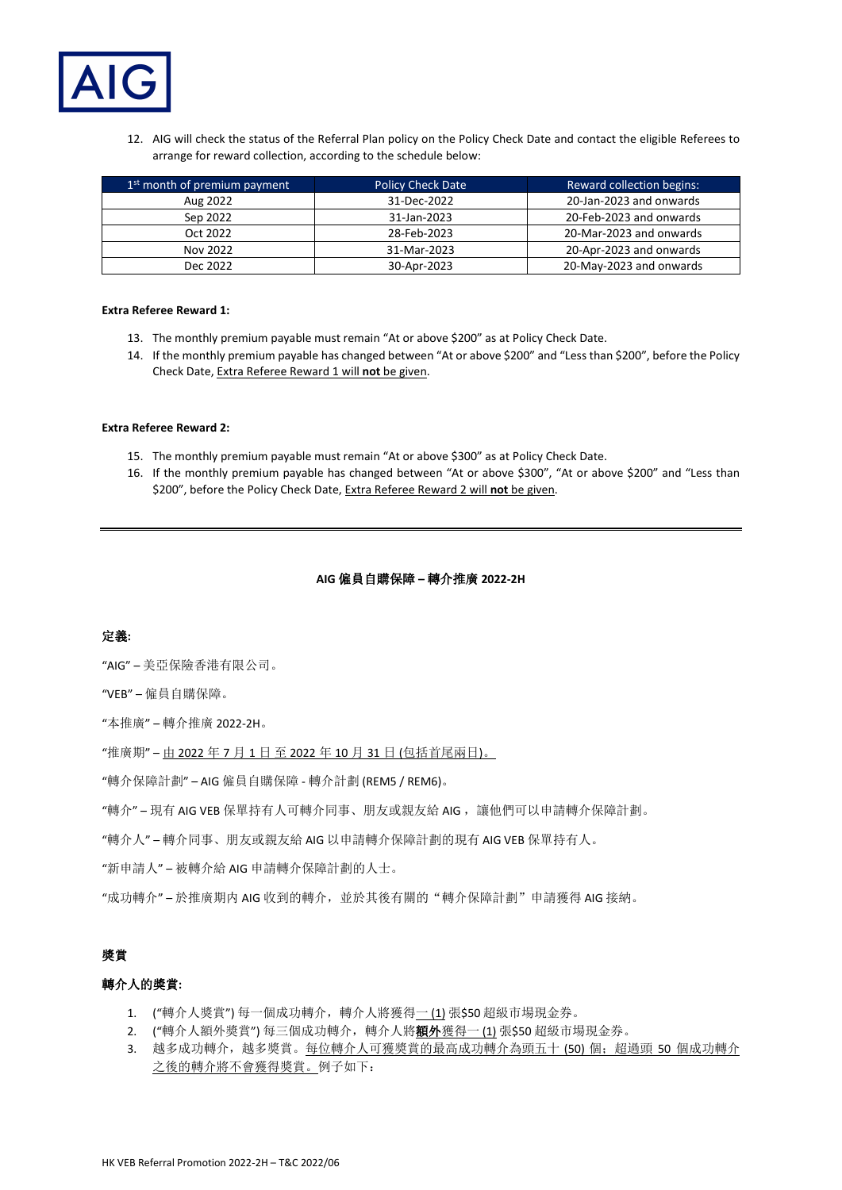

12. AIG will check the status of the Referral Plan policy on the Policy Check Date and contact the eligible Referees to arrange for reward collection, according to the schedule below:

| 1 <sup>st</sup> month of premium payment | <b>Policy Check Date</b> | <b>Reward collection begins:</b> |
|------------------------------------------|--------------------------|----------------------------------|
| Aug 2022                                 | 31-Dec-2022              | 20-Jan-2023 and onwards          |
| Sep 2022                                 | 31-Jan-2023              | 20-Feb-2023 and onwards          |
| Oct 2022                                 | 28-Feb-2023              | 20-Mar-2023 and onwards          |
| Nov 2022                                 | 31-Mar-2023              | 20-Apr-2023 and onwards          |
| Dec 2022                                 | 30-Apr-2023              | 20-May-2023 and onwards          |

### **Extra Referee Reward 1:**

- 13. The monthly premium payable must remain "At or above \$200" as at Policy Check Date.
- 14. If the monthly premium payable has changed between "At or above \$200" and "Less than \$200", before the Policy Check Date, Extra Referee Reward 1 will **not** be given.

#### **Extra Referee Reward 2:**

- 15. The monthly premium payable must remain "At or above \$300" as at Policy Check Date.
- 16. If the monthly premium payable has changed between "At or above \$300", "At or above \$200" and "Less than \$200", before the Policy Check Date, Extra Referee Reward 2 will **not** be given.

## **AIG** 僱員自購保障 **–** 轉介推廣 **2022-2H**

## 定義**:**

"AIG" – 美亞保險香港有限公司。

"VEB" – 僱員自購保障。

"本推廣" – 轉介推廣 2022-2H。

"推廣期" – 由 2022 年 7 月 1 日 至 2022 年 10 月 31 日 (包括首尾兩日)。

"轉介保障計劃" – AIG 僱員自購保障 - 轉介計劃 (REM5 / REM6)。

"轉介" – 現有 AIG VEB 保單持有人可轉介同事、朋友或親友給 AIG ,讓他們可以申請轉介保障計劃。

"轉介人" – 轉介同事、朋友或親友給 AIG 以申請轉介保障計劃的現有 AIG VEB 保單持有人。

"新申請人" – 被轉介給 AIG 申請轉介保障計劃的人士。

"成功轉介" – 於推廣期内 AIG 收到的轉介,並於其後有關的"轉介保障計劃"申請獲得 AIG 接納。

# 獎賞

## 轉介人的獎賞**:**

- 1. ("轉介人獎賞")每一個成功轉介,轉介人將獲得一(1)張\$50超級市場現金券。
- 2. ("轉介人額外獎賞")每三個成功轉介,轉介人將額外獲得一(1)張\$50超級市場現金券。
- 3. 越多成功轉介,越多獎賞。每位轉介人可獲獎賞的最高成功轉介為頭五十 (50) 個;超過頭 50 個成功轉介 之後的轉介將不會獲得獎賞。例子如下: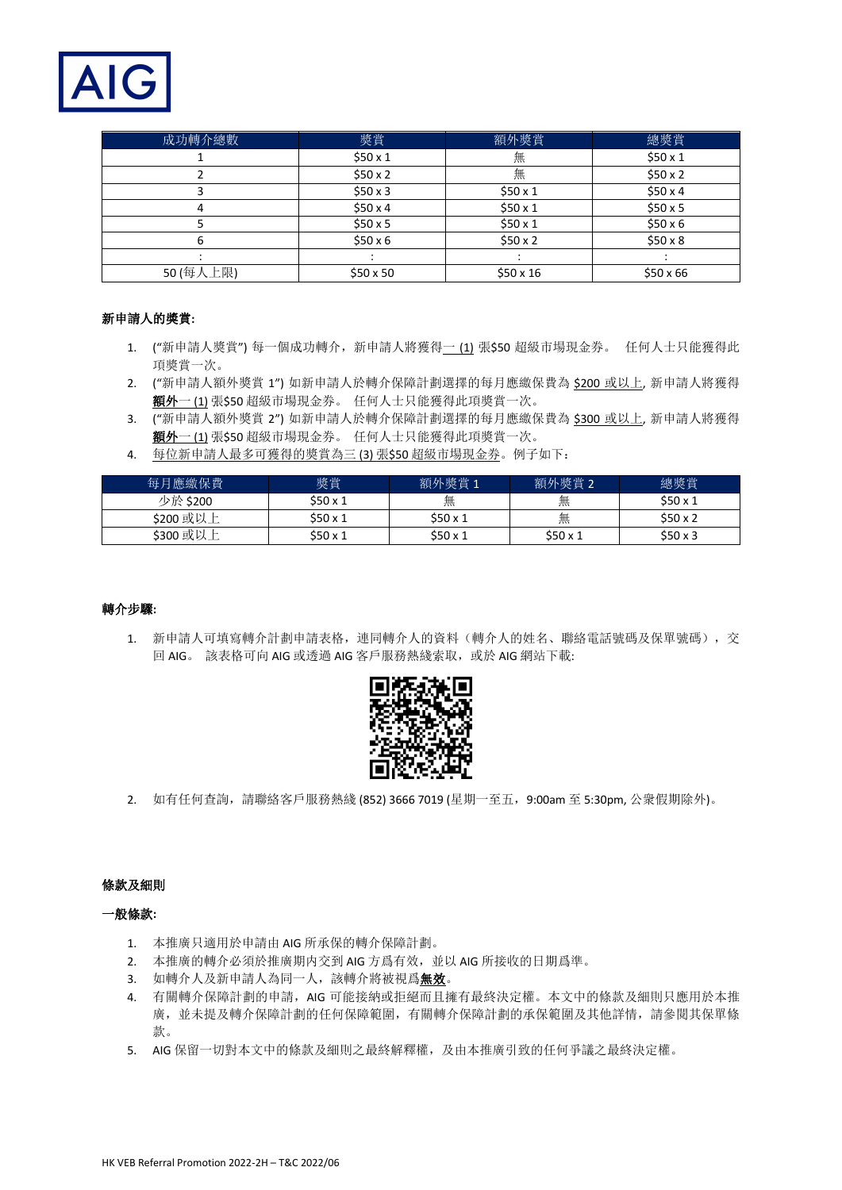

| 成功轉介總數    | 獎賞              | 額外獎賞            | 總獎賞             |
|-----------|-----------------|-----------------|-----------------|
|           | \$50x1          | 無               | \$50x1          |
|           | \$50x2          | 無               | \$50x2          |
|           | \$50x3          | \$50x1          | \$50x4          |
|           | \$50 $\times$ 4 | \$50x1          | \$50x5          |
|           | \$50 $\times$ 5 | \$50x1          | $$50 \times 6$  |
| h         | $$50 \times 6$  | \$50x2          | \$50x8          |
|           |                 |                 |                 |
| 50 (每人上限) | $$50 \times 50$ | $$50 \times 16$ | $$50 \times 66$ |

# 新申請人的獎賞**:**

- 1. ("新申請人獎賞") 每一個成功轉介, 新申請人將獲得一(1)張\$50 超級市場現金券。 任何人士只能獲得此 項獎賞一次。
- 2. ("新申請人額外獎賞 1") 如新申請人於轉介保障計劃選擇的每月應繳保費為 \$200 或以上, 新申請人將獲得 額外一 (1) 張\$50 超級市場現金券。 任何人士只能獲得此項獎賞一次。
- 3. ("新申請人額外獎賞 2") 如新申請人於轉介保障計劃選擇的每月應繳保費為 \$300 或以上, 新申請人將獲得 額外一 (1) 張\$50 超級市場現金券。 任何人士只能獲得此項獎賞一次。
- 4. 每位新申請人最多可獲得的獎賞為三 (3) 張\$50 超級市場現金券。例子如下:

| 每月應繳保費    | 獎賞       | 額外獎賞1    | 額外獎賞2  | 總獎賞    |
|-----------|----------|----------|--------|--------|
| 少於 \$200  | \$50x1   | 無        | 無      | \$50x1 |
| \$200 或以上 | \$50 x 1 | \$50 x 1 | 無      | \$50x2 |
| \$300 或以上 | \$50x1   | \$50 x 1 | \$50x1 | \$50x3 |

## 轉介步驟**:**

1. 新申請人可填寫轉介計劃申請表格,連同轉介人的資料(轉介人的姓名、聯絡電話號碼及保單號碼),交 回 AIG。 該表格可向 AIG 或透過 AIG 客戶服務熱綫索取, 或於 AIG 網站下載:



2. 如有任何查詢,請聯絡客戶服務熱綫 (852) 3666 7019 (星期一至五, 9:00am 至 5:30pm, 公衆假期除外)。

## 條款及細則

## 一般條款**:**

- 1. 本推廣只適用於申請由 AIG 所承保的轉介保障計劃。
- 2. 本推廣的轉介必須於推廣期内交到 AIG 方爲有效,並以 AIG 所接收的日期爲準。
- 3. 如轉介人及新申請人為同一人,該轉介將被視爲無效。
- 4. 有關轉介保障計劃的申請, AIG 可能接納或拒絕而且擁有最終決定權。本文中的條款及細則只應用於本推 廣,並未提及轉介保障計劃的任何保障範圍,有關轉介保障計劃的承保範圍及其他詳情,請參閱其保單條 款。
- 5. AIG 保留一切對本文中的條款及細則之最終解釋權,及由本推廣引致的任何爭議之最終決定權。